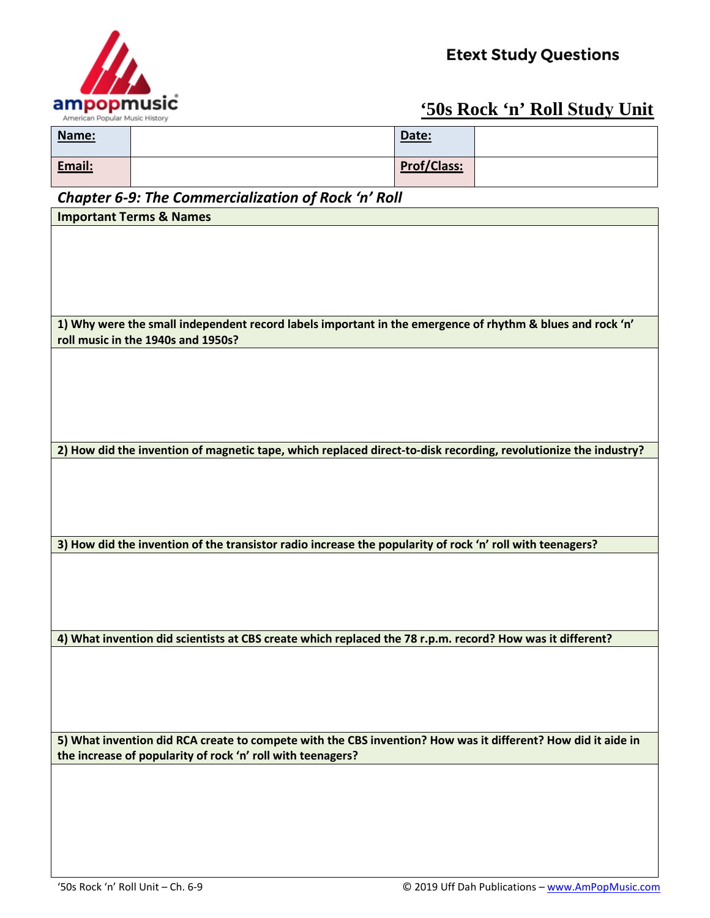

## **'50s Rock 'n' Roll Study Unit**

| Name:  | Date:              |  |
|--------|--------------------|--|
| Email: | <b>Prof/Class:</b> |  |

## *Chapter 6-9: The Commercialization of Rock 'n' Roll*

| Chapter 6-9: The Commercialization of Rock Tri Roll                                                             |  |  |  |
|-----------------------------------------------------------------------------------------------------------------|--|--|--|
| <b>Important Terms &amp; Names</b>                                                                              |  |  |  |
|                                                                                                                 |  |  |  |
|                                                                                                                 |  |  |  |
|                                                                                                                 |  |  |  |
|                                                                                                                 |  |  |  |
|                                                                                                                 |  |  |  |
|                                                                                                                 |  |  |  |
|                                                                                                                 |  |  |  |
| 1) Why were the small independent record labels important in the emergence of rhythm & blues and rock 'n'       |  |  |  |
| roll music in the 1940s and 1950s?                                                                              |  |  |  |
|                                                                                                                 |  |  |  |
|                                                                                                                 |  |  |  |
|                                                                                                                 |  |  |  |
|                                                                                                                 |  |  |  |
|                                                                                                                 |  |  |  |
|                                                                                                                 |  |  |  |
|                                                                                                                 |  |  |  |
| 2) How did the invention of magnetic tape, which replaced direct-to-disk recording, revolutionize the industry? |  |  |  |
|                                                                                                                 |  |  |  |
|                                                                                                                 |  |  |  |
|                                                                                                                 |  |  |  |
|                                                                                                                 |  |  |  |
|                                                                                                                 |  |  |  |
|                                                                                                                 |  |  |  |
| 3) How did the invention of the transistor radio increase the popularity of rock 'n' roll with teenagers?       |  |  |  |
|                                                                                                                 |  |  |  |
|                                                                                                                 |  |  |  |
|                                                                                                                 |  |  |  |
|                                                                                                                 |  |  |  |
|                                                                                                                 |  |  |  |
| 4) What invention did scientists at CBS create which replaced the 78 r.p.m. record? How was it different?       |  |  |  |
|                                                                                                                 |  |  |  |
|                                                                                                                 |  |  |  |
|                                                                                                                 |  |  |  |
|                                                                                                                 |  |  |  |
|                                                                                                                 |  |  |  |
|                                                                                                                 |  |  |  |
|                                                                                                                 |  |  |  |
| 5) What invention did RCA create to compete with the CBS invention? How was it different? How did it aide in    |  |  |  |
| the increase of popularity of rock 'n' roll with teenagers?                                                     |  |  |  |
|                                                                                                                 |  |  |  |
|                                                                                                                 |  |  |  |
|                                                                                                                 |  |  |  |
|                                                                                                                 |  |  |  |
|                                                                                                                 |  |  |  |